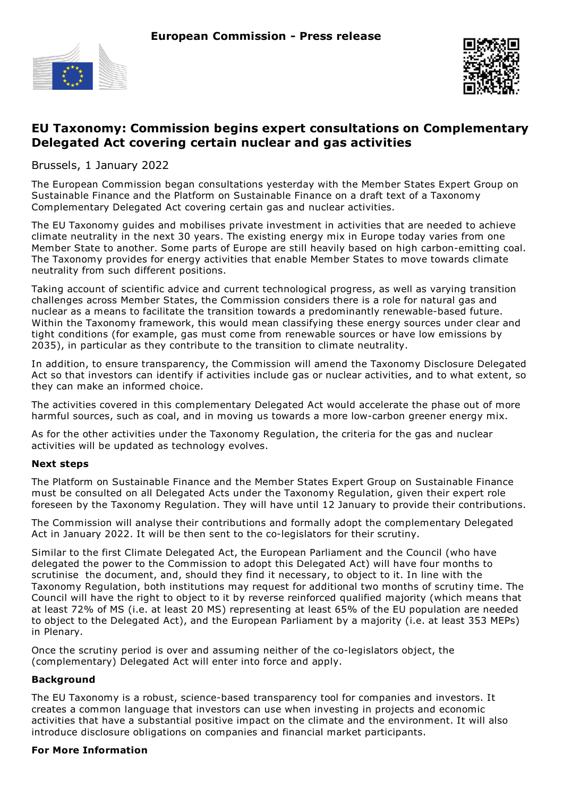



## **EU Taxonomy: Commission begins expert consultations on Complementary Delegated Act covering certain nuclear and gas activities**

Brussels, 1 January 2022

The European Commission began consultations yesterday with the Member States Expert Group on Sustainable Finance and the Platform on Sustainable Finance on a draft text of a Taxonomy Complementary Delegated Act covering certain gas and nuclear activities.

The EU Taxonomy guides and mobilises private investment in activities that are needed to achieve climate neutrality in the next 30 years. The existing energy mix in Europe today varies from one Member State to another. Some parts of Europe are still heavily based on high carbon-emitting coal. The Taxonomy provides for energy activities that enable Member States to move towards climate neutrality from such different positions.

Taking account of scientific advice and current technological progress, as well as varying transition challenges across Member States, the Commission considers there is a role for natural gas and nuclear as a means to facilitate the transition towards a predominantly renewable-based future.<br>Within the Taxonomy framework, this would mean classifying these energy sources under clear and tight conditions (for example, gas must come from renewable sources or have low emissions by 2035), in particular as they contribute to the transition to climate neutrality.

In addition, to ensure transparency, the Commission will amend the Taxonomy Disclosure Delegated Act so that investors can identify if activities include gas or nuclear activities, and to what extent, so they can make an informed choice.

The activities covered in this complementary Delegated Act would accelerate the phase out of more harmful sources, such as coal, and in moving us towards a more low-carbon greener energy mix.

As for the other activities under the Taxonomy Regulation, the criteria for the gas and nuclear activities will be updated as technology evolves.

### **Next steps**

The Platform on Sustainable Finance and the Member States Expert Group on Sustainable Finance must be consulted on all Delegated Acts under the Taxonomy Regulation, given their expert role foreseen by the Taxonomy Regulation. They will have until 12 January to provide their contributions.

The Commission will analyse their contributions and formally adopt the complementary Delegated Act in January 2022. It will be then sent to the co-legislators for their scrutiny.

Similar to the first Climate Delegated Act, the European Parliament and the Council (who have delegated the power to the Commission to adopt this Delegated Act) will have four months to scrutinise the document, and, should they find it necessary, to object to it. In line with the Taxonomy Regulation, both institutions may request for additional two months of scrutiny time. The Council will have the right to object to it by reverse reinforced qualified majority (which means that at least 72% of MS (i.e. at least 20 MS) representing at least 65% of the EU population are needed to object to the Delegated Act), and the European Parliament by a majority (i.e. at least 353 MEPs) in Plenary.

Once the scrutiny period is over and assuming neither of the co-legislators object, the (complementary) Delegated Act will enter into force and apply.

### **Background**

The EU Taxonomy is a robust, science-based transparency tool for companies and investors. It creates a common language that investors can use when investing in projects and economic activities that have a substantial positive impact on the climate and the environment. It will also introduce disclosure obligations on companies and financial market participants.

### **For More Information**